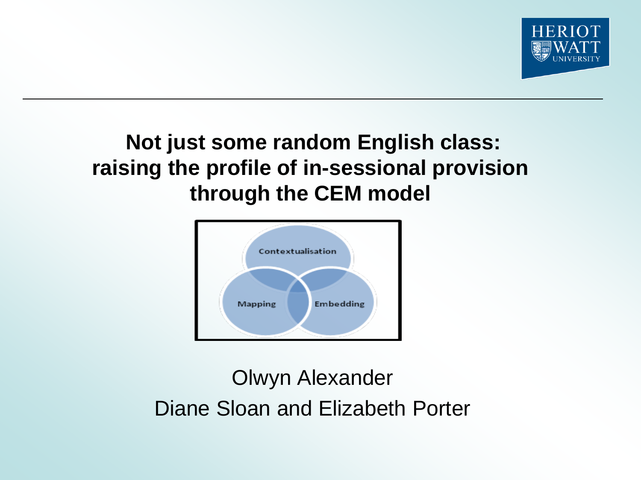

# **Not just some random English class: raising the profile of in-sessional provision through the CEM model**



Olwyn Alexander Diane Sloan and Elizabeth Porter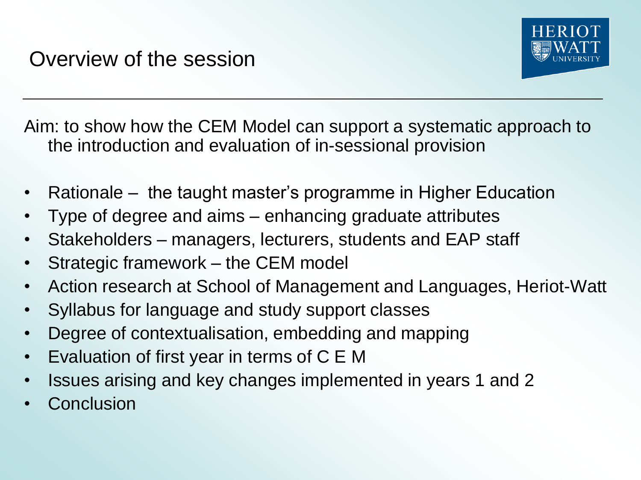

Aim: to show how the CEM Model can support a systematic approach to the introduction and evaluation of in-sessional provision

- Rationale the taught master's programme in Higher Education
- Type of degree and aims enhancing graduate attributes
- Stakeholders managers, lecturers, students and EAP staff
- Strategic framework the CEM model
- Action research at School of Management and Languages, Heriot-Watt
- Syllabus for language and study support classes
- Degree of contextualisation, embedding and mapping
- Evaluation of first year in terms of C E M
- Issues arising and key changes implemented in years 1 and 2
- **Conclusion**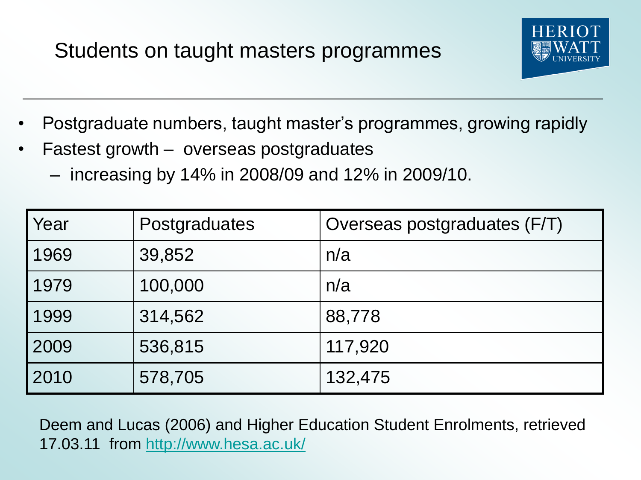# Students on taught masters programmes



- Postgraduate numbers, taught master's programmes, growing rapidly
- Fastest growth overseas postgraduates
	- increasing by 14% in 2008/09 and 12% in 2009/10.

| Year | Postgraduates | Overseas postgraduates (F/T) |  |
|------|---------------|------------------------------|--|
| 1969 | 39,852        | n/a                          |  |
| 1979 | 100,000       | n/a                          |  |
| 1999 | 314,562       | 88,778                       |  |
| 2009 | 536,815       | 117,920                      |  |
| 2010 | 578,705       | 132,475                      |  |

Deem and Lucas (2006) and Higher Education Student Enrolments, retrieved 17.03.11 from <http://www.hesa.ac.uk/>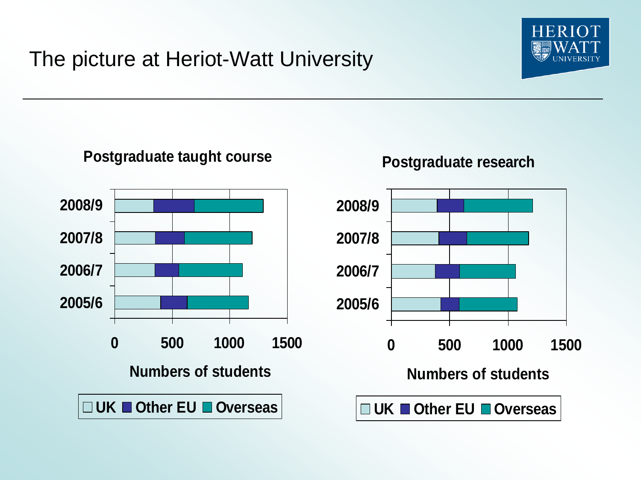# The picture at Heriot-Watt University



#### **Postgraduate taught course**



#### **Postgraduate research**

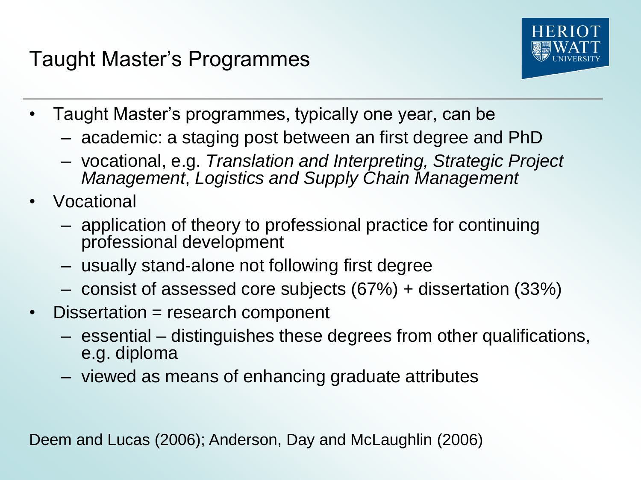# Taught Master's Programmes



- Taught Master's programmes, typically one year, can be
	- academic: a staging post between an first degree and PhD
	- vocational, e.g. *Translation and Interpreting, Strategic Project Management*, *Logistics and Supply Chain Management*
- Vocational
	- application of theory to professional practice for continuing professional development
	- usually stand-alone not following first degree
	- consist of assessed core subjects (67%) + dissertation (33%)
- Dissertation = research component
	- essential distinguishes these degrees from other qualifications, e.g. diploma
	- viewed as means of enhancing graduate attributes

Deem and Lucas (2006); Anderson, Day and McLaughlin (2006)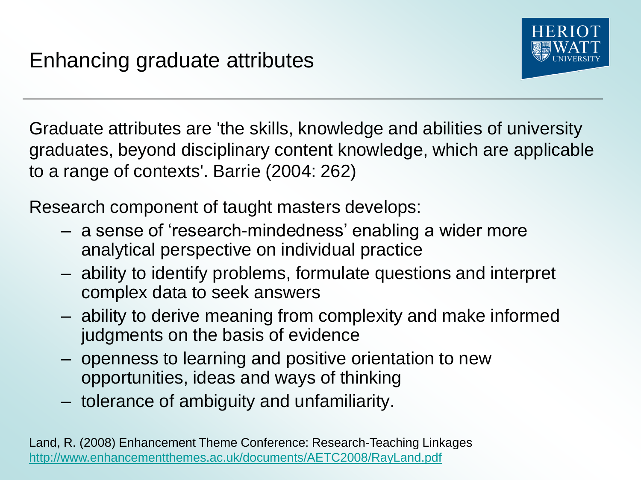

Graduate attributes are 'the skills, knowledge and abilities of university graduates, beyond disciplinary content knowledge, which are applicable to a range of contexts'. Barrie (2004: 262)

Research component of taught masters develops:

- a sense of 'research-mindedness' enabling a wider more analytical perspective on individual practice
- ability to identify problems, formulate questions and interpret complex data to seek answers
- ability to derive meaning from complexity and make informed judgments on the basis of evidence
- openness to learning and positive orientation to new opportunities, ideas and ways of thinking
- tolerance of ambiguity and unfamiliarity.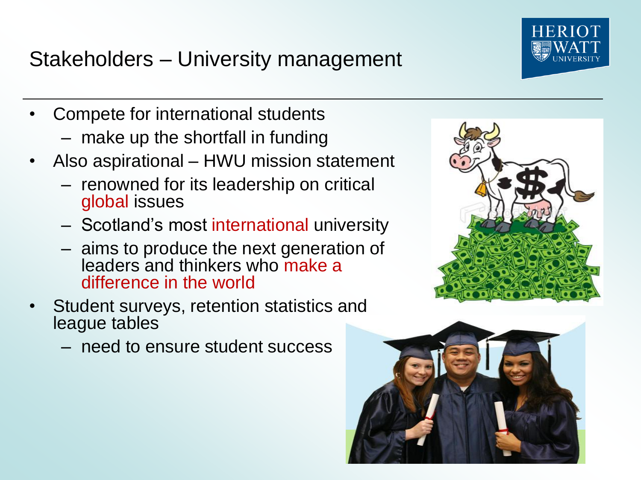Stakeholders – University management

- Compete for international students
	- make up the shortfall in funding
- Also aspirational HWU mission statement
	- renowned for its leadership on critical global issues
	- Scotland's most international university
	- aims to produce the next generation of leaders and thinkers who make a difference in the world
- Student surveys, retention statistics and league tables
	- need to ensure student success





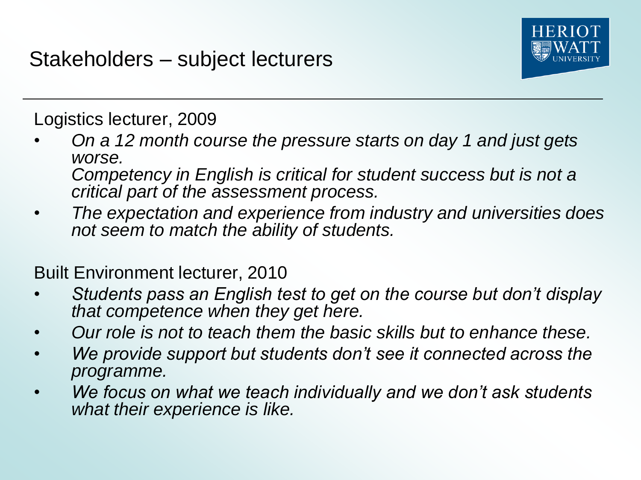

Logistics lecturer, 2009

- *On a 12 month course the pressure starts on day 1 and just gets worse. Competency in English is critical for student success but is not a critical part of the assessment process.*
- *The expectation and experience from industry and universities does not seem to match the ability of students.*

Built Environment lecturer, 2010

- *Students pass an English test to get on the course but don't display that competence when they get here.*
- *Our role is not to teach them the basic skills but to enhance these.*
- *We provide support but students don't see it connected across the programme.*
- *We focus on what we teach individually and we don't ask students what their experience is like.*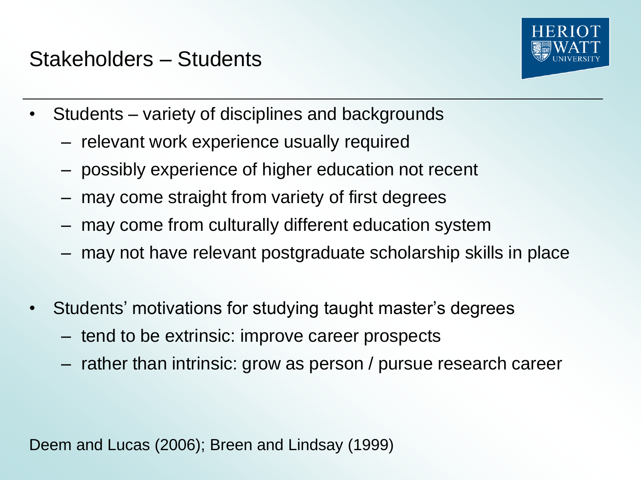# Stakeholders – Students



- Students variety of disciplines and backgrounds
	- relevant work experience usually required
	- possibly experience of higher education not recent
	- may come straight from variety of first degrees
	- may come from culturally different education system
	- may not have relevant postgraduate scholarship skills in place
- Students' motivations for studying taught master's degrees
	- tend to be extrinsic: improve career prospects
	- rather than intrinsic: grow as person / pursue research career

Deem and Lucas (2006); Breen and Lindsay (1999)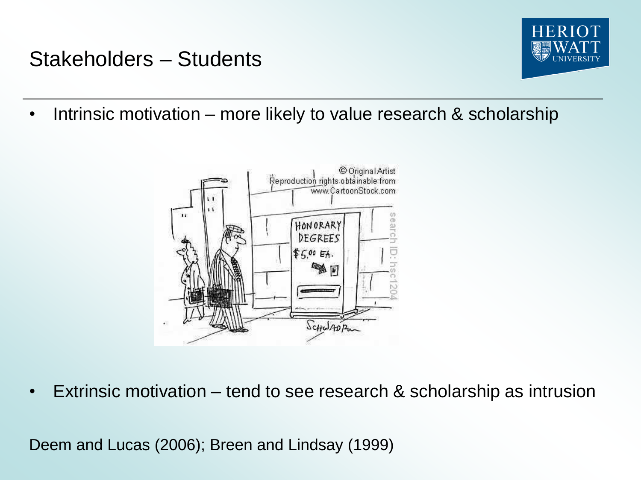# Stakeholders – Students



• Intrinsic motivation – more likely to value research & scholarship



• Extrinsic motivation – tend to see research & scholarship as intrusion

Deem and Lucas (2006); Breen and Lindsay (1999)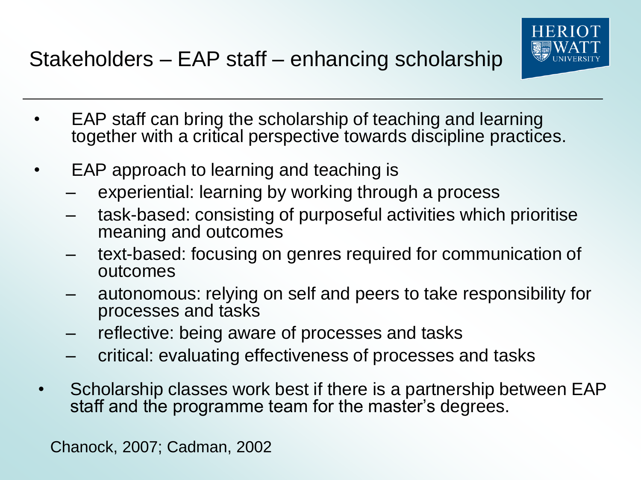

- EAP staff can bring the scholarship of teaching and learning together with a critical perspective towards discipline practices.
- EAP approach to learning and teaching is
	- experiential: learning by working through a process
	- task-based: consisting of purposeful activities which prioritise meaning and outcomes
	- text-based: focusing on genres required for communication of outcomes
	- autonomous: relying on self and peers to take responsibility for processes and tasks
	- reflective: being aware of processes and tasks
	- critical: evaluating effectiveness of processes and tasks
- Scholarship classes work best if there is a partnership between EAP staff and the programme team for the master's degrees.

Chanock, 2007; Cadman, 2002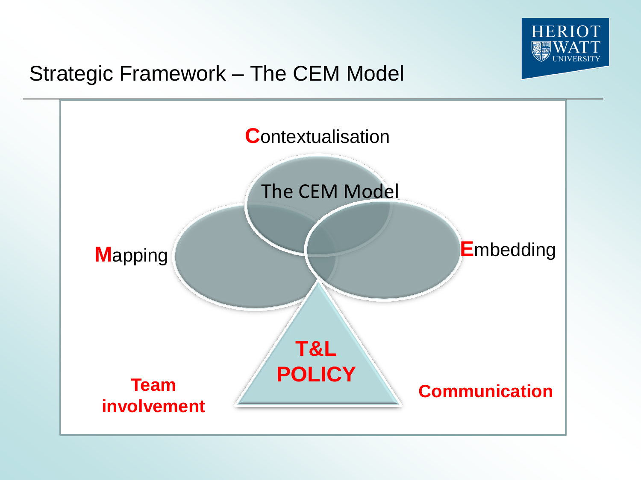

# Strategic Framework – The CEM Model

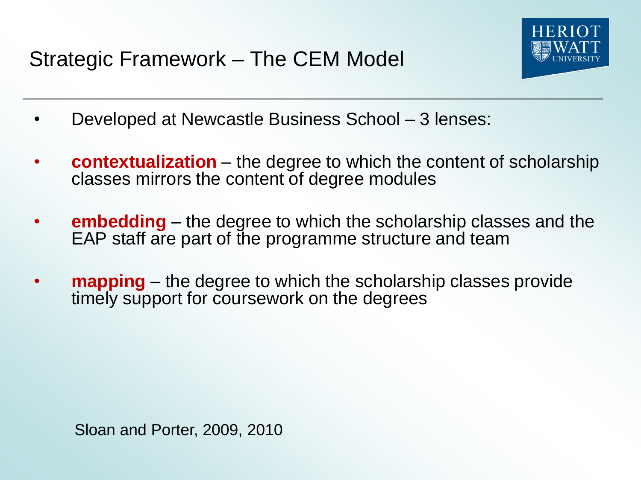

- Developed at Newcastle Business School 3 lenses:
- **contextualization** the degree to which the content of scholarship classes mirrors the content of degree modules
- **embedding** the degree to which the scholarship classes and the EAP staff are part of the programme structure and team
- **mapping** the degree to which the scholarship classes provide timely support for coursework on the degrees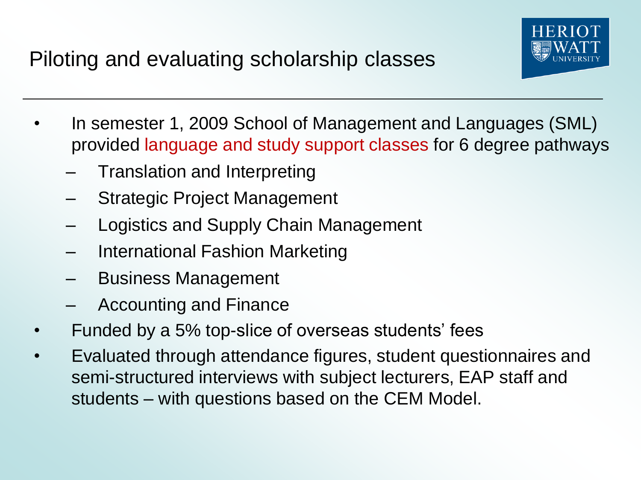

- In semester 1, 2009 School of Management and Languages (SML) provided language and study support classes for 6 degree pathways
	- Translation and Interpreting
	- Strategic Project Management
	- Logistics and Supply Chain Management
	- International Fashion Marketing
	- Business Management
	- Accounting and Finance
- Funded by a 5% top-slice of overseas students' fees
- Evaluated through attendance figures, student questionnaires and semi-structured interviews with subject lecturers, EAP staff and students – with questions based on the CEM Model.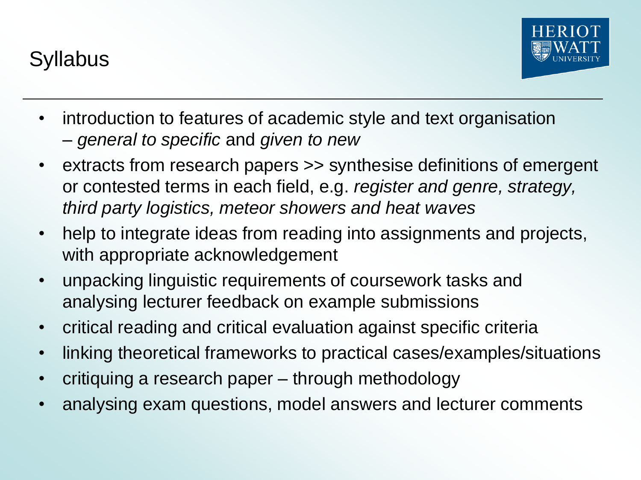**Syllabus** 



- introduction to features of academic style and text organisation – *general to specific* and *given to new*
- extracts from research papers >> synthesise definitions of emergent or contested terms in each field, e.g. *register and genre, strategy, third party logistics, meteor showers and heat waves*
- help to integrate ideas from reading into assignments and projects, with appropriate acknowledgement
- unpacking linguistic requirements of coursework tasks and analysing lecturer feedback on example submissions
- critical reading and critical evaluation against specific criteria
- linking theoretical frameworks to practical cases/examples/situations
- critiquing a research paper through methodology
- analysing exam questions, model answers and lecturer comments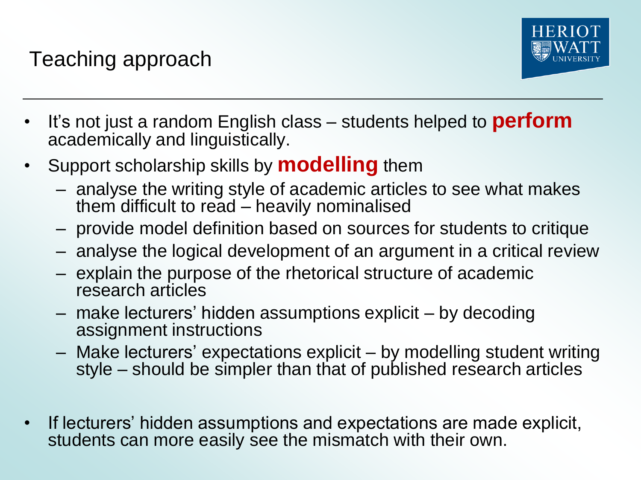Teaching approach



- It's not just a random English class students helped to **perform** academically and linguistically.
- Support scholarship skills by **modelling** them
	- analyse the writing style of academic articles to see what makes them difficult to read – heavily nominalised
	- provide model definition based on sources for students to critique
	- analyse the logical development of an argument in a critical review
	- explain the purpose of the rhetorical structure of academic research articles
	- make lecturers' hidden assumptions explicit by decoding assignment instructions
	- Make lecturers' expectations explicit by modelling student writing style – should be simpler than that of published research articles
- If lecturers' hidden assumptions and expectations are made explicit, students can more easily see the mismatch with their own.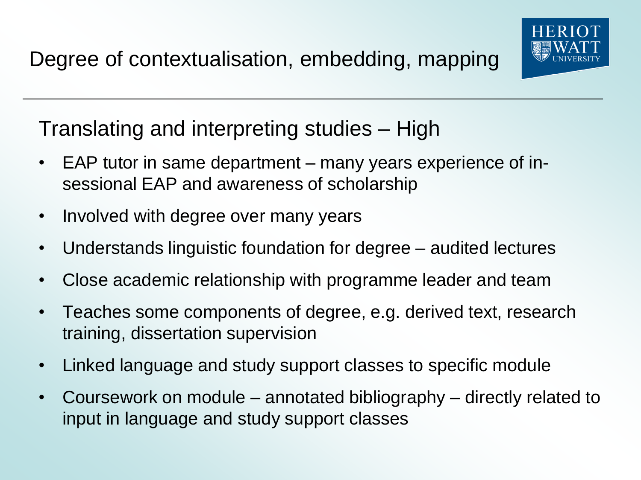

Translating and interpreting studies – High

- EAP tutor in same department many years experience of insessional EAP and awareness of scholarship
- Involved with degree over many years
- Understands linguistic foundation for degree audited lectures
- Close academic relationship with programme leader and team
- Teaches some components of degree, e.g. derived text, research training, dissertation supervision
- Linked language and study support classes to specific module
- Coursework on module annotated bibliography directly related to input in language and study support classes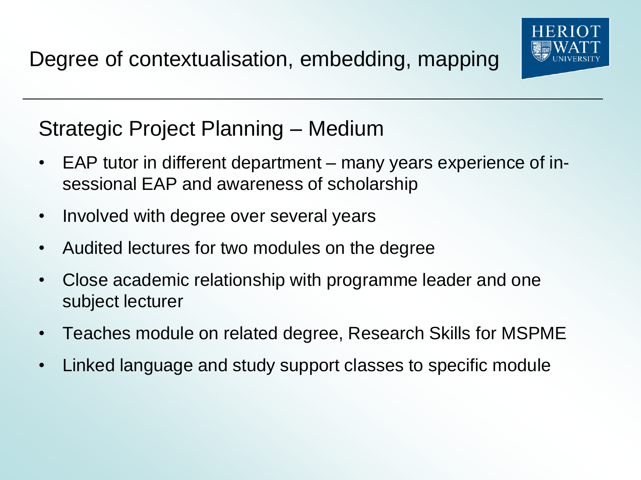

Strategic Project Planning – Medium

- EAP tutor in different department many years experience of insessional EAP and awareness of scholarship
- Involved with degree over several years
- Audited lectures for two modules on the degree
- Close academic relationship with programme leader and one subject lecturer
- Teaches module on related degree, Research Skills for MSPME
- Linked language and study support classes to specific module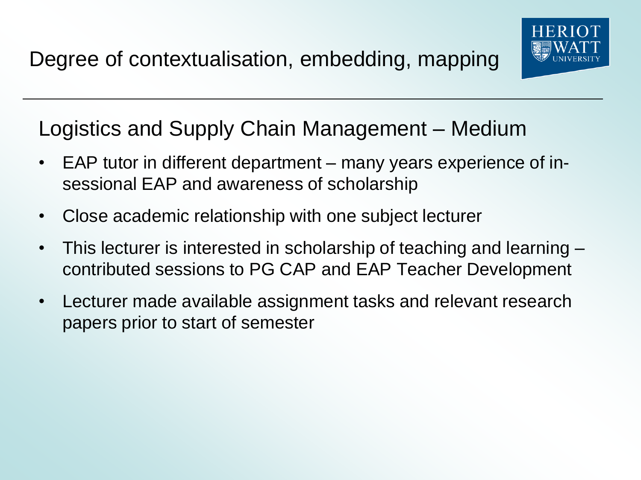

# Logistics and Supply Chain Management – Medium

- EAP tutor in different department many years experience of insessional EAP and awareness of scholarship
- Close academic relationship with one subject lecturer
- This lecturer is interested in scholarship of teaching and learning contributed sessions to PG CAP and EAP Teacher Development
- Lecturer made available assignment tasks and relevant research papers prior to start of semester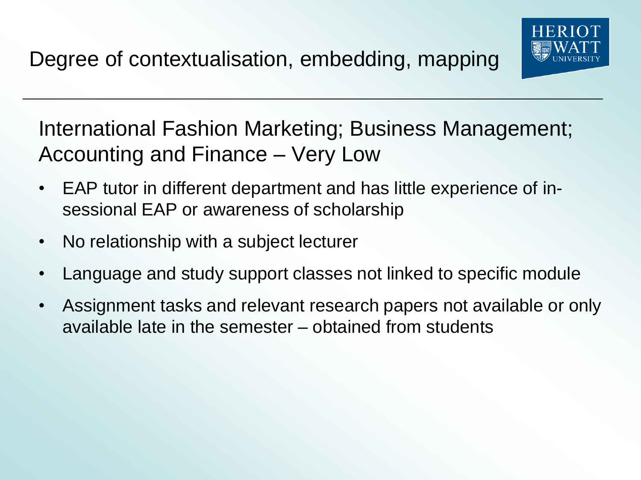

International Fashion Marketing; Business Management; Accounting and Finance – Very Low

- EAP tutor in different department and has little experience of insessional EAP or awareness of scholarship
- No relationship with a subject lecturer
- Language and study support classes not linked to specific module
- Assignment tasks and relevant research papers not available or only available late in the semester – obtained from students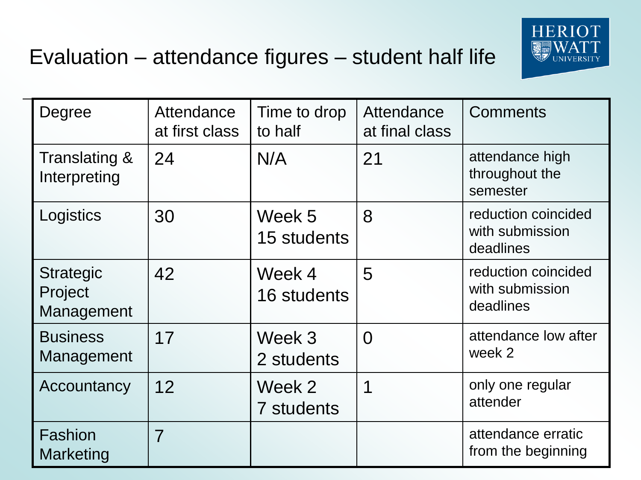

| Degree                                    | Attendance<br>at first class | Time to drop<br>to half | Attendance<br>at final class | <b>Comments</b>                                     |
|-------------------------------------------|------------------------------|-------------------------|------------------------------|-----------------------------------------------------|
| Translating &<br>Interpreting             | 24                           | N/A                     | 21                           | attendance high<br>throughout the<br>semester       |
| Logistics                                 | 30                           | Week 5<br>15 students   | 8                            | reduction coincided<br>with submission<br>deadlines |
| <b>Strategic</b><br>Project<br>Management | 42                           | Week 4<br>16 students   | 5                            | reduction coincided<br>with submission<br>deadlines |
| <b>Business</b><br>Management             | 17                           | Week 3<br>2 students    | $\overline{0}$               | attendance low after<br>week 2                      |
| Accountancy                               | 12                           | Week 2<br>7 students    | 1                            | only one regular<br>attender                        |
| Fashion<br>Marketing                      | $\overline{7}$               |                         |                              | attendance erratic<br>from the beginning            |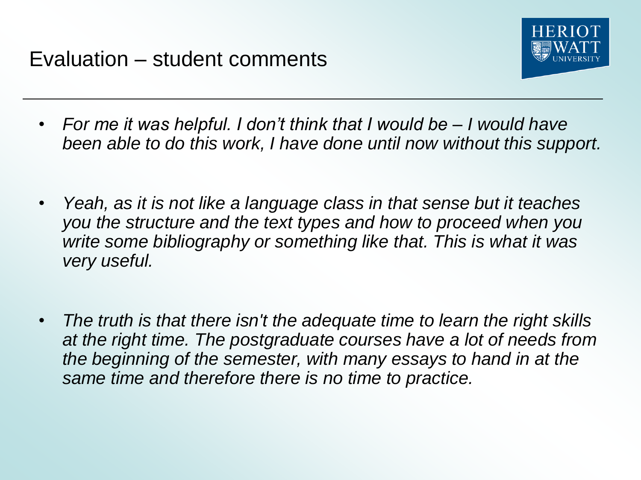

- *For me it was helpful. I don't think that I would be – I would have been able to do this work, I have done until now without this support.*
- *Yeah, as it is not like a language class in that sense but it teaches you the structure and the text types and how to proceed when you write some bibliography or something like that. This is what it was very useful.*
- *The truth is that there isn't the adequate time to learn the right skills at the right time. The postgraduate courses have a lot of needs from the beginning of the semester, with many essays to hand in at the same time and therefore there is no time to practice.*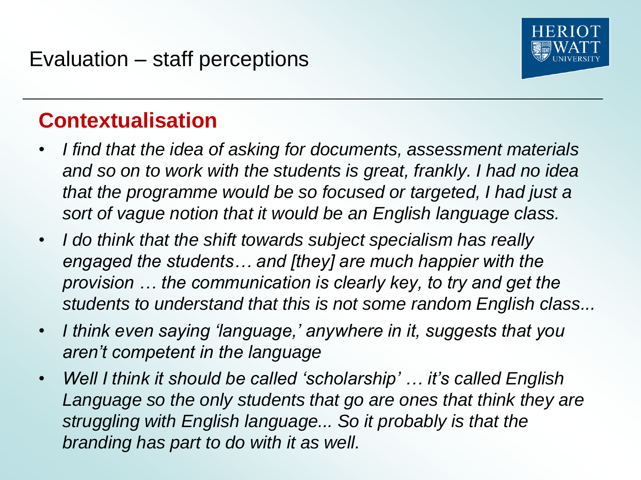

- *I find that the idea of asking for documents, assessment materials and so on to work with the students is great, frankly. I had no idea that the programme would be so focused or targeted, I had just a sort of vague notion that it would be an English language class.*
- *I do think that the shift towards subject specialism has really engaged the students… and [they] are much happier with the provision … the communication is clearly key, to try and get the students to understand that this is not some random English class...*
- *I think even saying 'language,' anywhere in it, suggests that you aren't competent in the language*
- *Well I think it should be called 'scholarship' … it's called English Language so the only students that go are ones that think they are struggling with English language... So it probably is that the branding has part to do with it as well.*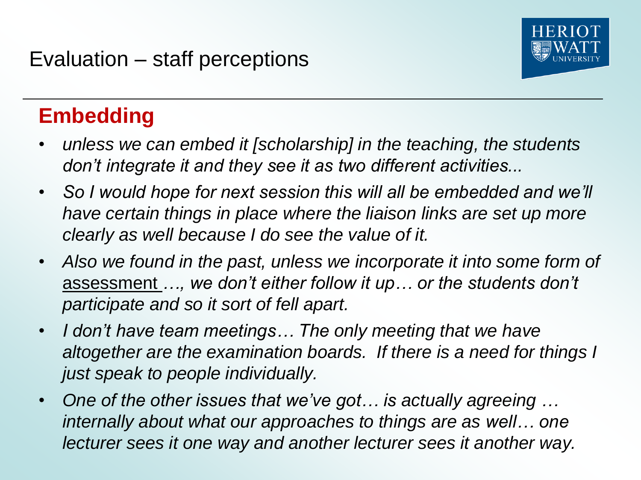

# **Embedding**

- *unless we can embed it [scholarship] in the teaching, the students don't integrate it and they see it as two different activities...*
- *So I would hope for next session this will all be embedded and we'll have certain things in place where the liaison links are set up more clearly as well because I do see the value of it.*
- *Also we found in the past, unless we incorporate it into some form of*  assessment *…, we don't either follow it up… or the students don't participate and so it sort of fell apart.*
- *I don't have team meetings… The only meeting that we have altogether are the examination boards. If there is a need for things I just speak to people individually.*
- *One of the other issues that we've got… is actually agreeing … internally about what our approaches to things are as well… one lecturer sees it one way and another lecturer sees it another way.*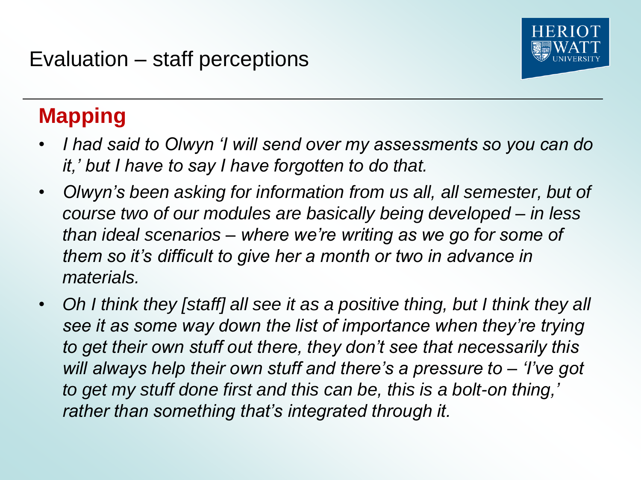

# **Mapping**

- *I had said to Olwyn 'I will send over my assessments so you can do it,' but I have to say I have forgotten to do that.*
- *Olwyn's been asking for information from us all, all semester, but of course two of our modules are basically being developed – in less than ideal scenarios – where we're writing as we go for some of them so it's difficult to give her a month or two in advance in materials.*
- Oh I think they [staff] all see it as a positive thing, but I think they all *see it as some way down the list of importance when they're trying to get their own stuff out there, they don't see that necessarily this will always help their own stuff and there's a pressure to – 'I've got to get my stuff done first and this can be, this is a bolt-on thing,' rather than something that's integrated through it.*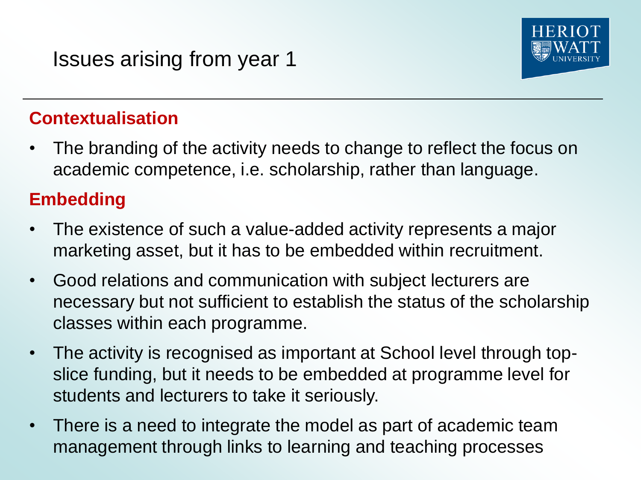

• The branding of the activity needs to change to reflect the focus on academic competence, i.e. scholarship, rather than language.

#### **Embedding**

- The existence of such a value-added activity represents a major marketing asset, but it has to be embedded within recruitment.
- Good relations and communication with subject lecturers are necessary but not sufficient to establish the status of the scholarship classes within each programme.
- The activity is recognised as important at School level through topslice funding, but it needs to be embedded at programme level for students and lecturers to take it seriously.
- There is a need to integrate the model as part of academic team management through links to learning and teaching processes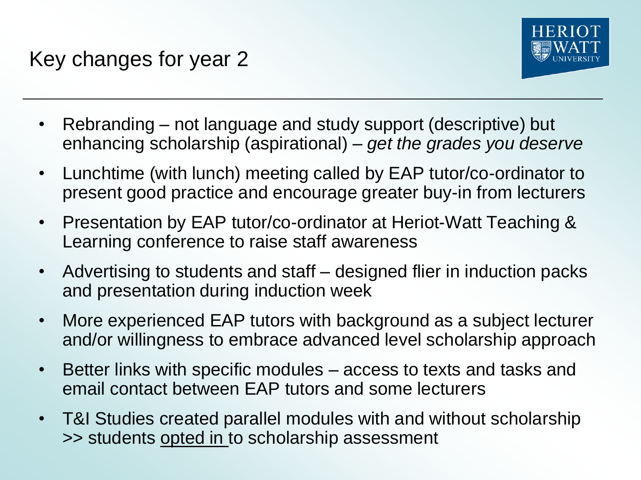

- Rebranding not language and study support (descriptive) but enhancing scholarship (aspirational) – *get the grades you deserve*
- Lunchtime (with lunch) meeting called by EAP tutor/co-ordinator to present good practice and encourage greater buy-in from lecturers
- Presentation by EAP tutor/co-ordinator at Heriot-Watt Teaching & Learning conference to raise staff awareness
- Advertising to students and staff designed flier in induction packs and presentation during induction week
- More experienced EAP tutors with background as a subject lecturer and/or willingness to embrace advanced level scholarship approach
- Better links with specific modules access to texts and tasks and email contact between EAP tutors and some lecturers
- T&I Studies created parallel modules with and without scholarship >> students opted in to scholarship assessment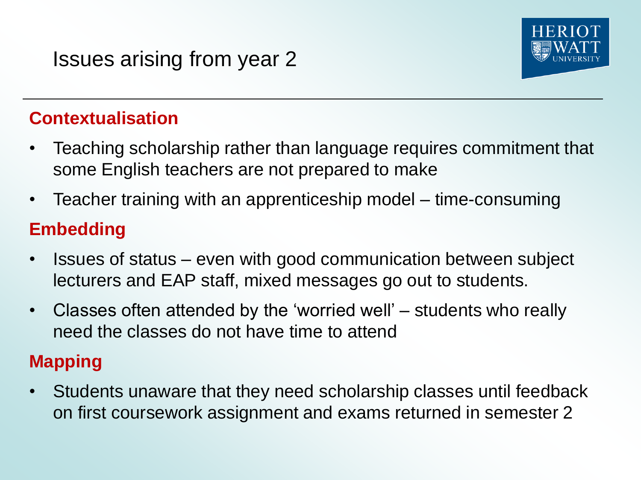

- Teaching scholarship rather than language requires commitment that some English teachers are not prepared to make
- Teacher training with an apprenticeship model time-consuming

### **Embedding**

- Issues of status even with good communication between subject lecturers and EAP staff, mixed messages go out to students.
- Classes often attended by the 'worried well' students who really need the classes do not have time to attend

### **Mapping**

• Students unaware that they need scholarship classes until feedback on first coursework assignment and exams returned in semester 2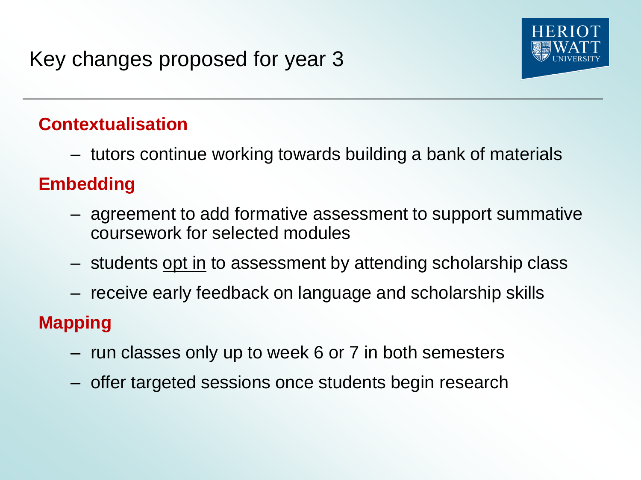

– tutors continue working towards building a bank of materials

## **Embedding**

- agreement to add formative assessment to support summative coursework for selected modules
- students opt in to assessment by attending scholarship class
- receive early feedback on language and scholarship skills

## **Mapping**

- run classes only up to week 6 or 7 in both semesters
- offer targeted sessions once students begin research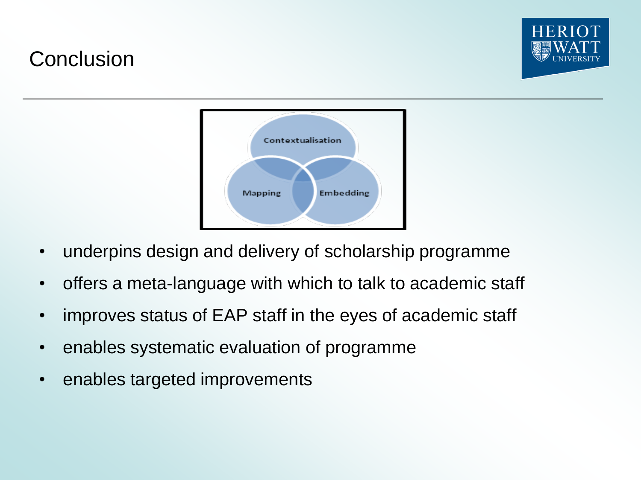# **Conclusion**



- underpins design and delivery of scholarship programme
- offers a meta-language with which to talk to academic staff
- improves status of EAP staff in the eyes of academic staff
- enables systematic evaluation of programme
- enables targeted improvements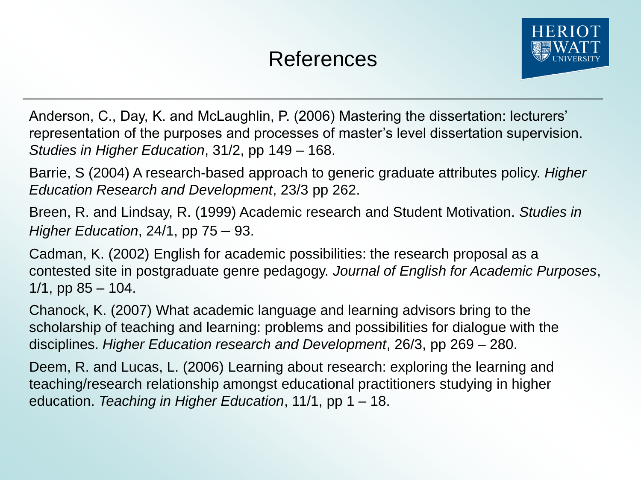

Anderson, C., Day, K. and McLaughlin, P. (2006) Mastering the dissertation: lecturers' representation of the purposes and processes of master's level dissertation supervision. *Studies in Higher Education*, 31/2, pp 149 – 168.

Barrie, S (2004) A research-based approach to generic graduate attributes policy. *Higher Education Research and Development*, 23/3 pp 262.

Breen, R. and Lindsay, R. (1999) Academic research and Student Motivation. *Studies in Higher Education*, 24/1, pp 75 – 93.

Cadman, K. (2002) English for academic possibilities: the research proposal as a contested site in postgraduate genre pedagogy. *Journal of English for Academic Purposes*,  $1/1$ , pp  $85 - 104$ .

Chanock, K. (2007) What academic language and learning advisors bring to the scholarship of teaching and learning: problems and possibilities for dialogue with the disciplines. *Higher Education research and Development*, 26/3, pp 269 – 280.

Deem, R. and Lucas, L. (2006) Learning about research: exploring the learning and teaching/research relationship amongst educational practitioners studying in higher education. *Teaching in Higher Education*, 11/1, pp 1 – 18.